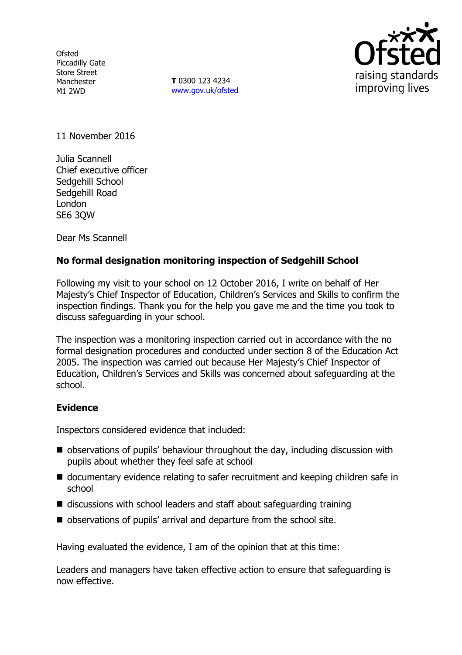**Ofsted** Piccadilly Gate Store Street Manchester M1 2WD

**T** 0300 123 4234 www.gov.uk/ofsted



11 November 2016

Julia Scannell Chief executive officer Sedgehill School Sedgehill Road London SE6 3QW

Dear Ms Scannell

## **No formal designation monitoring inspection of Sedgehill School**

Following my visit to your school on 12 October 2016, I write on behalf of Her Majesty's Chief Inspector of Education, Children's Services and Skills to confirm the inspection findings. Thank you for the help you gave me and the time you took to discuss safeguarding in your school.

The inspection was a monitoring inspection carried out in accordance with the no formal designation procedures and conducted under section 8 of the Education Act 2005. The inspection was carried out because Her Majesty's Chief Inspector of Education, Children's Services and Skills was concerned about safeguarding at the school.

## **Evidence**

Inspectors considered evidence that included:

- observations of pupils' behaviour throughout the day, including discussion with pupils about whether they feel safe at school
- documentary evidence relating to safer recruitment and keeping children safe in school
- discussions with school leaders and staff about safeguarding training
- observations of pupils' arrival and departure from the school site.

Having evaluated the evidence, I am of the opinion that at this time:

Leaders and managers have taken effective action to ensure that safeguarding is now effective.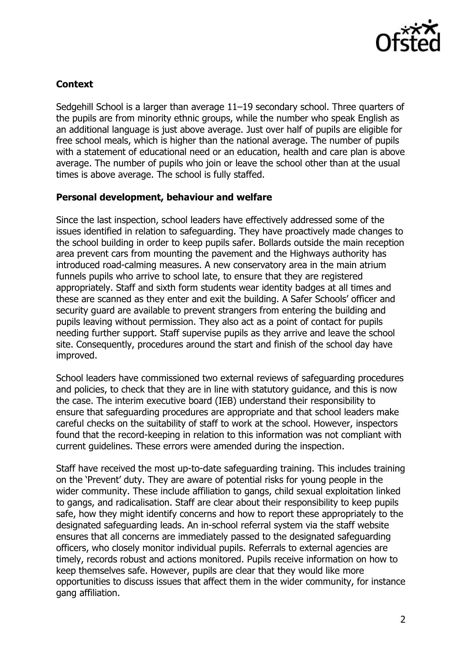

# **Context**

Sedgehill School is a larger than average 11–19 secondary school. Three quarters of the pupils are from minority ethnic groups, while the number who speak English as an additional language is just above average. Just over half of pupils are eligible for free school meals, which is higher than the national average. The number of pupils with a statement of educational need or an education, health and care plan is above average. The number of pupils who join or leave the school other than at the usual times is above average. The school is fully staffed.

## **Personal development, behaviour and welfare**

Since the last inspection, school leaders have effectively addressed some of the issues identified in relation to safeguarding. They have proactively made changes to the school building in order to keep pupils safer. Bollards outside the main reception area prevent cars from mounting the pavement and the Highways authority has introduced road-calming measures. A new conservatory area in the main atrium funnels pupils who arrive to school late, to ensure that they are registered appropriately. Staff and sixth form students wear identity badges at all times and these are scanned as they enter and exit the building. A Safer Schools' officer and security guard are available to prevent strangers from entering the building and pupils leaving without permission. They also act as a point of contact for pupils needing further support. Staff supervise pupils as they arrive and leave the school site. Consequently, procedures around the start and finish of the school day have improved.

School leaders have commissioned two external reviews of safeguarding procedures and policies, to check that they are in line with statutory guidance, and this is now the case. The interim executive board (IEB) understand their responsibility to ensure that safeguarding procedures are appropriate and that school leaders make careful checks on the suitability of staff to work at the school. However, inspectors found that the record-keeping in relation to this information was not compliant with current guidelines. These errors were amended during the inspection.

Staff have received the most up-to-date safeguarding training. This includes training on the 'Prevent' duty. They are aware of potential risks for young people in the wider community. These include affiliation to gangs, child sexual exploitation linked to gangs, and radicalisation. Staff are clear about their responsibility to keep pupils safe, how they might identify concerns and how to report these appropriately to the designated safeguarding leads. An in-school referral system via the staff website ensures that all concerns are immediately passed to the designated safeguarding officers, who closely monitor individual pupils. Referrals to external agencies are timely, records robust and actions monitored. Pupils receive information on how to keep themselves safe. However, pupils are clear that they would like more opportunities to discuss issues that affect them in the wider community, for instance gang affiliation.